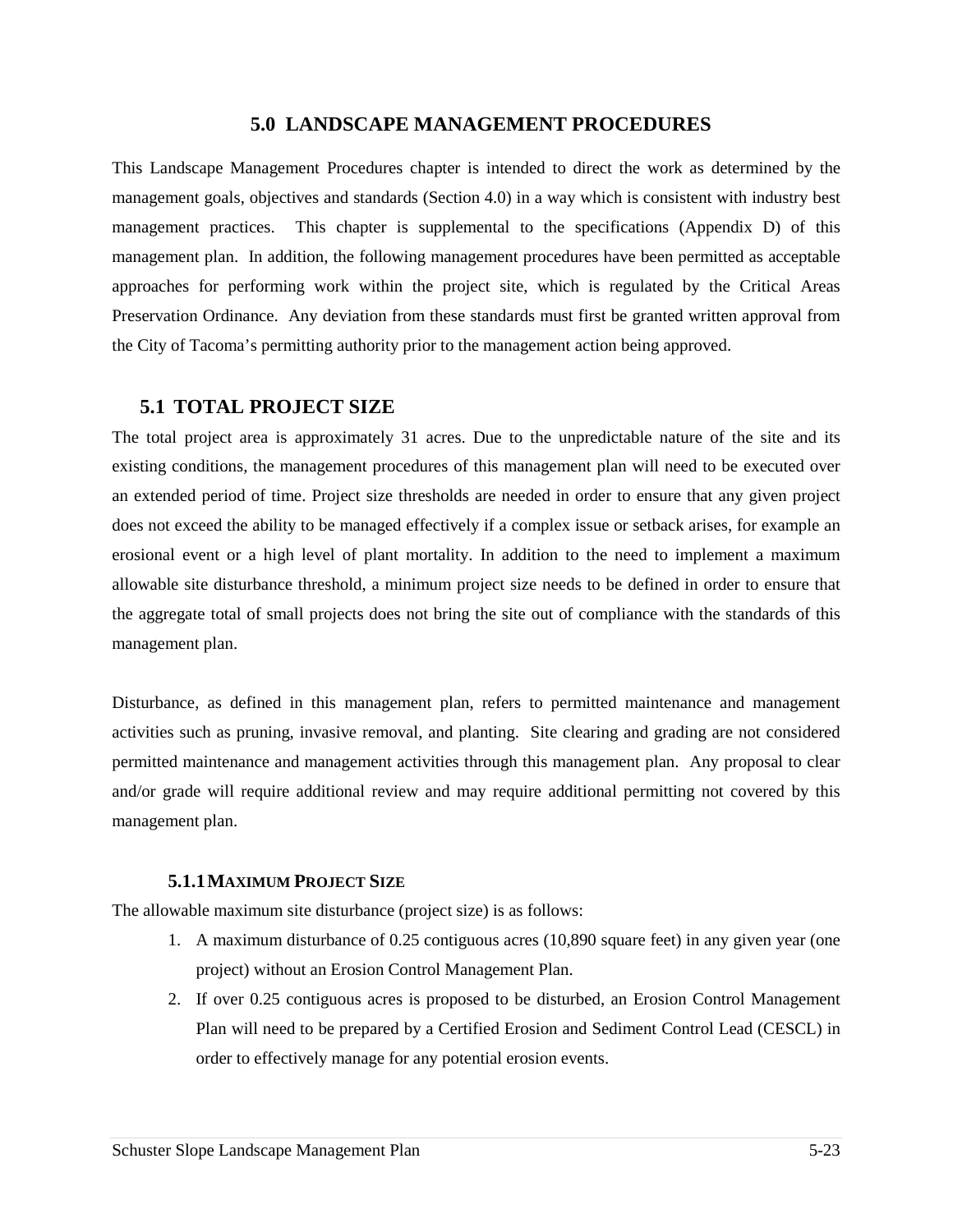## **5.0 LANDSCAPE MANAGEMENT PROCEDURES**

This Landscape Management Procedures chapter is intended to direct the work as determined by the management goals, objectives and standards (Section 4.0) in a way which is consistent with industry best management practices. This chapter is supplemental to the specifications (Appendix D) of this management plan. In addition, the following management procedures have been permitted as acceptable approaches for performing work within the project site, which is regulated by the Critical Areas Preservation Ordinance. Any deviation from these standards must first be granted written approval from the City of Tacoma's permitting authority prior to the management action being approved.

## **5.1 TOTAL PROJECT SIZE**

The total project area is approximately 31 acres. Due to the unpredictable nature of the site and its existing conditions, the management procedures of this management plan will need to be executed over an extended period of time. Project size thresholds are needed in order to ensure that any given project does not exceed the ability to be managed effectively if a complex issue or setback arises, for example an erosional event or a high level of plant mortality. In addition to the need to implement a maximum allowable site disturbance threshold, a minimum project size needs to be defined in order to ensure that the aggregate total of small projects does not bring the site out of compliance with the standards of this management plan.

Disturbance, as defined in this management plan, refers to permitted maintenance and management activities such as pruning, invasive removal, and planting. Site clearing and grading are not considered permitted maintenance and management activities through this management plan. Any proposal to clear and/or grade will require additional review and may require additional permitting not covered by this management plan.

### **5.1.1MAXIMUM PROJECT SIZE**

The allowable maximum site disturbance (project size) is as follows:

- 1. A maximum disturbance of 0.25 contiguous acres (10,890 square feet) in any given year (one project) without an Erosion Control Management Plan.
- 2. If over 0.25 contiguous acres is proposed to be disturbed, an Erosion Control Management Plan will need to be prepared by a Certified Erosion and Sediment Control Lead (CESCL) in order to effectively manage for any potential erosion events.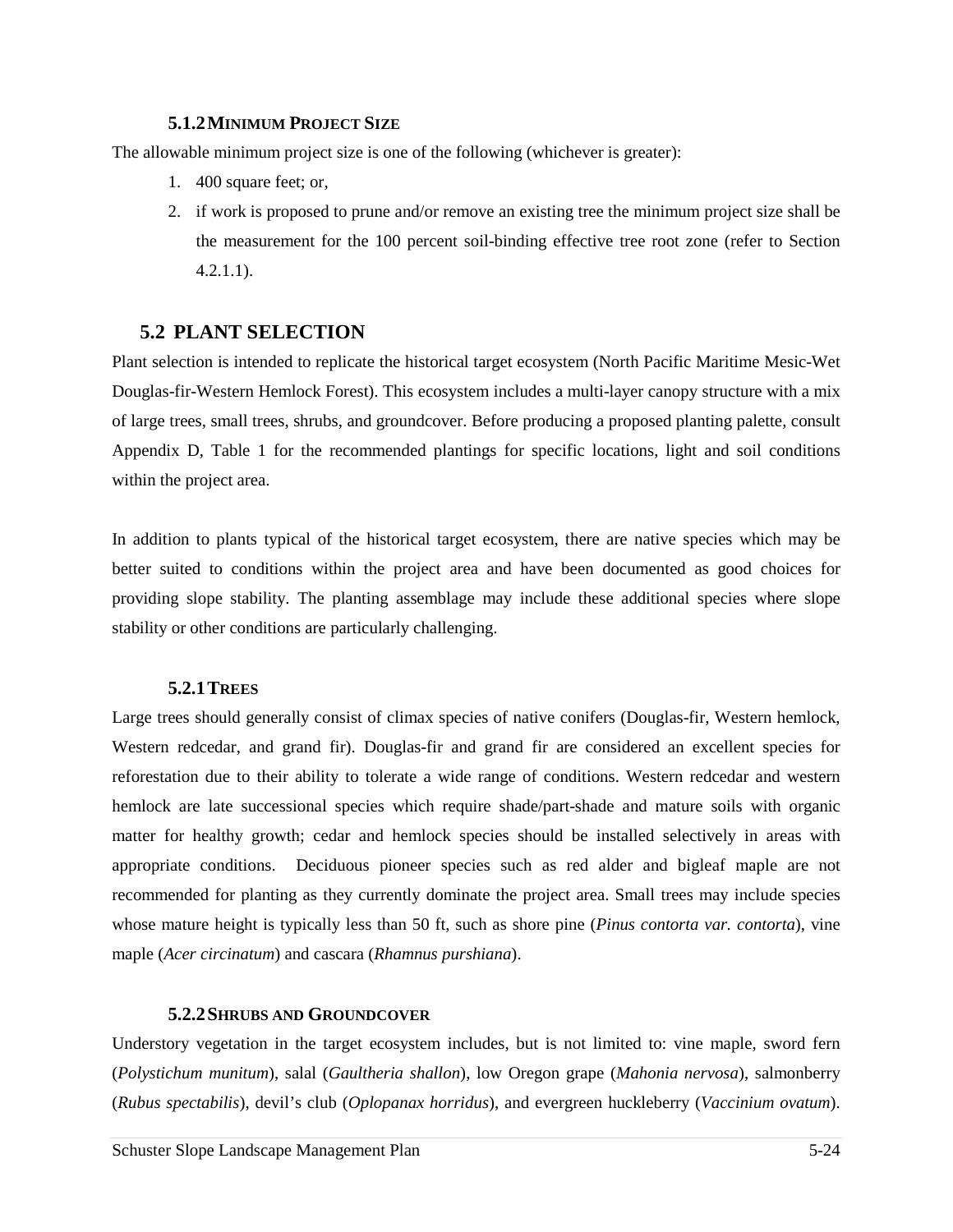### **5.1.2MINIMUM PROJECT SIZE**

The allowable minimum project size is one of the following (whichever is greater):

- 1. 400 square feet; or,
- 2. if work is proposed to prune and/or remove an existing tree the minimum project size shall be the measurement for the 100 percent soil-binding effective tree root zone (refer to Section 4.2.1.1).

# **5.2 PLANT SELECTION**

Plant selection is intended to replicate the historical target ecosystem (North Pacific Maritime Mesic-Wet Douglas-fir-Western Hemlock Forest). This ecosystem includes a multi-layer canopy structure with a mix of large trees, small trees, shrubs, and groundcover. Before producing a proposed planting palette, consult Appendix D, Table 1 for the recommended plantings for specific locations, light and soil conditions within the project area.

In addition to plants typical of the historical target ecosystem, there are native species which may be better suited to conditions within the project area and have been documented as good choices for providing slope stability. The planting assemblage may include these additional species where slope stability or other conditions are particularly challenging.

## **5.2.1TREES**

Large trees should generally consist of climax species of native conifers (Douglas-fir, Western hemlock, Western redcedar, and grand fir). Douglas-fir and grand fir are considered an excellent species for reforestation due to their ability to tolerate a wide range of conditions. Western redcedar and western hemlock are late successional species which require shade/part-shade and mature soils with organic matter for healthy growth; cedar and hemlock species should be installed selectively in areas with appropriate conditions. Deciduous pioneer species such as red alder and bigleaf maple are not recommended for planting as they currently dominate the project area. Small trees may include species whose mature height is typically less than 50 ft, such as shore pine (*Pinus contorta var. contorta*), vine maple (*Acer circinatum*) and cascara (*Rhamnus purshiana*).

## **5.2.2SHRUBS AND GROUNDCOVER**

Understory vegetation in the target ecosystem includes, but is not limited to: vine maple, sword fern (*Polystichum munitum*), salal (*Gaultheria shallon*), low Oregon grape (*Mahonia nervosa*), salmonberry (*Rubus spectabilis*), devil's club (*Oplopanax horridus*), and evergreen huckleberry (*Vaccinium ovatum*).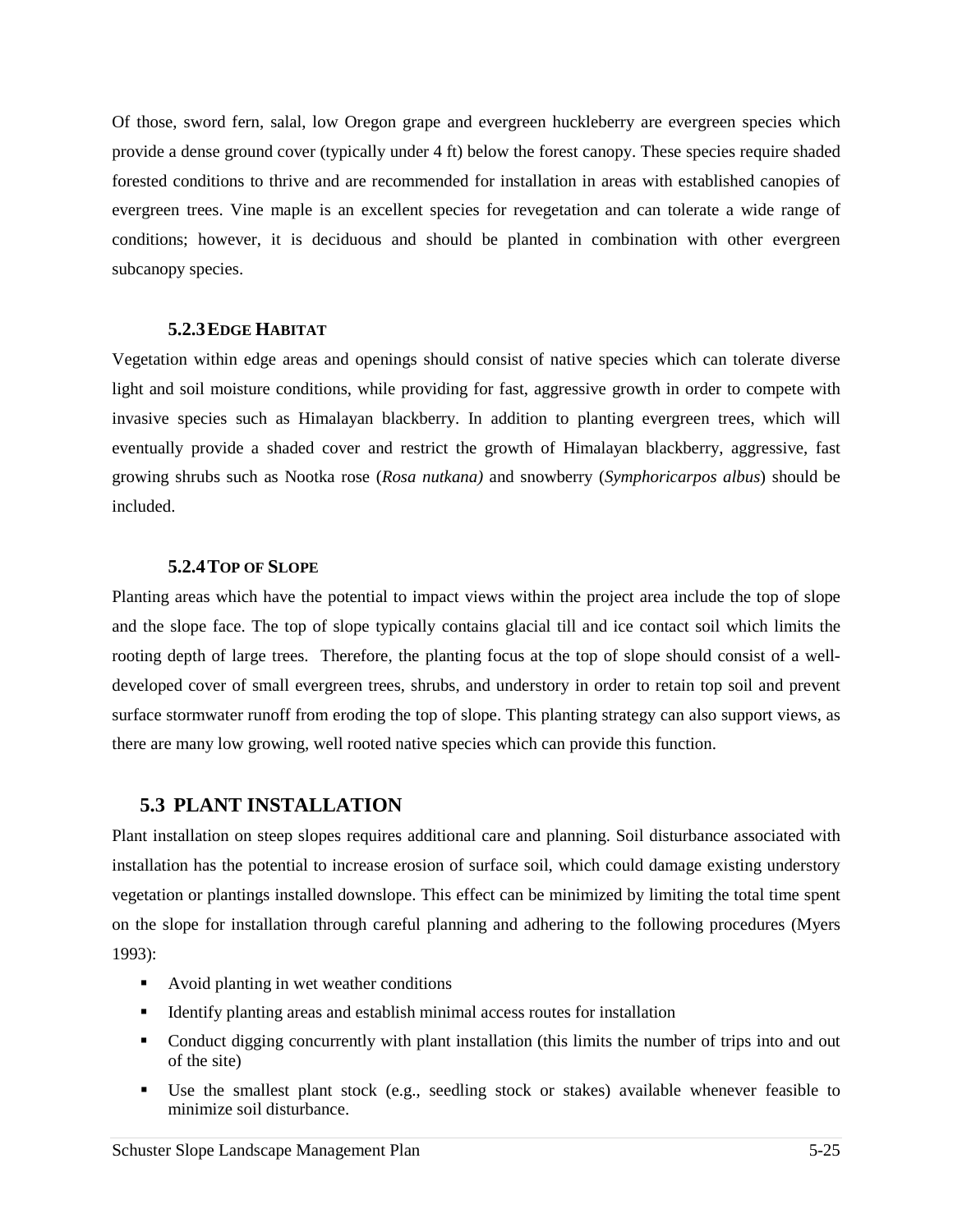Of those, sword fern, salal, low Oregon grape and evergreen huckleberry are evergreen species which provide a dense ground cover (typically under 4 ft) below the forest canopy. These species require shaded forested conditions to thrive and are recommended for installation in areas with established canopies of evergreen trees. Vine maple is an excellent species for revegetation and can tolerate a wide range of conditions; however, it is deciduous and should be planted in combination with other evergreen subcanopy species.

## **5.2.3EDGE HABITAT**

Vegetation within edge areas and openings should consist of native species which can tolerate diverse light and soil moisture conditions, while providing for fast, aggressive growth in order to compete with invasive species such as Himalayan blackberry. In addition to planting evergreen trees, which will eventually provide a shaded cover and restrict the growth of Himalayan blackberry, aggressive, fast growing shrubs such as Nootka rose (*Rosa nutkana)* and snowberry (*Symphoricarpos albus*) should be included.

## **5.2.4TOP OF SLOPE**

Planting areas which have the potential to impact views within the project area include the top of slope and the slope face. The top of slope typically contains glacial till and ice contact soil which limits the rooting depth of large trees. Therefore, the planting focus at the top of slope should consist of a welldeveloped cover of small evergreen trees, shrubs, and understory in order to retain top soil and prevent surface stormwater runoff from eroding the top of slope. This planting strategy can also support views, as there are many low growing, well rooted native species which can provide this function.

# **5.3 PLANT INSTALLATION**

Plant installation on steep slopes requires additional care and planning. Soil disturbance associated with installation has the potential to increase erosion of surface soil, which could damage existing understory vegetation or plantings installed downslope. This effect can be minimized by limiting the total time spent on the slope for installation through careful planning and adhering to the following procedures (Myers 1993):

- Avoid planting in wet weather conditions
- Identify planting areas and establish minimal access routes for installation
- Conduct digging concurrently with plant installation (this limits the number of trips into and out of the site)
- Use the smallest plant stock (e.g., seedling stock or stakes) available whenever feasible to minimize soil disturbance.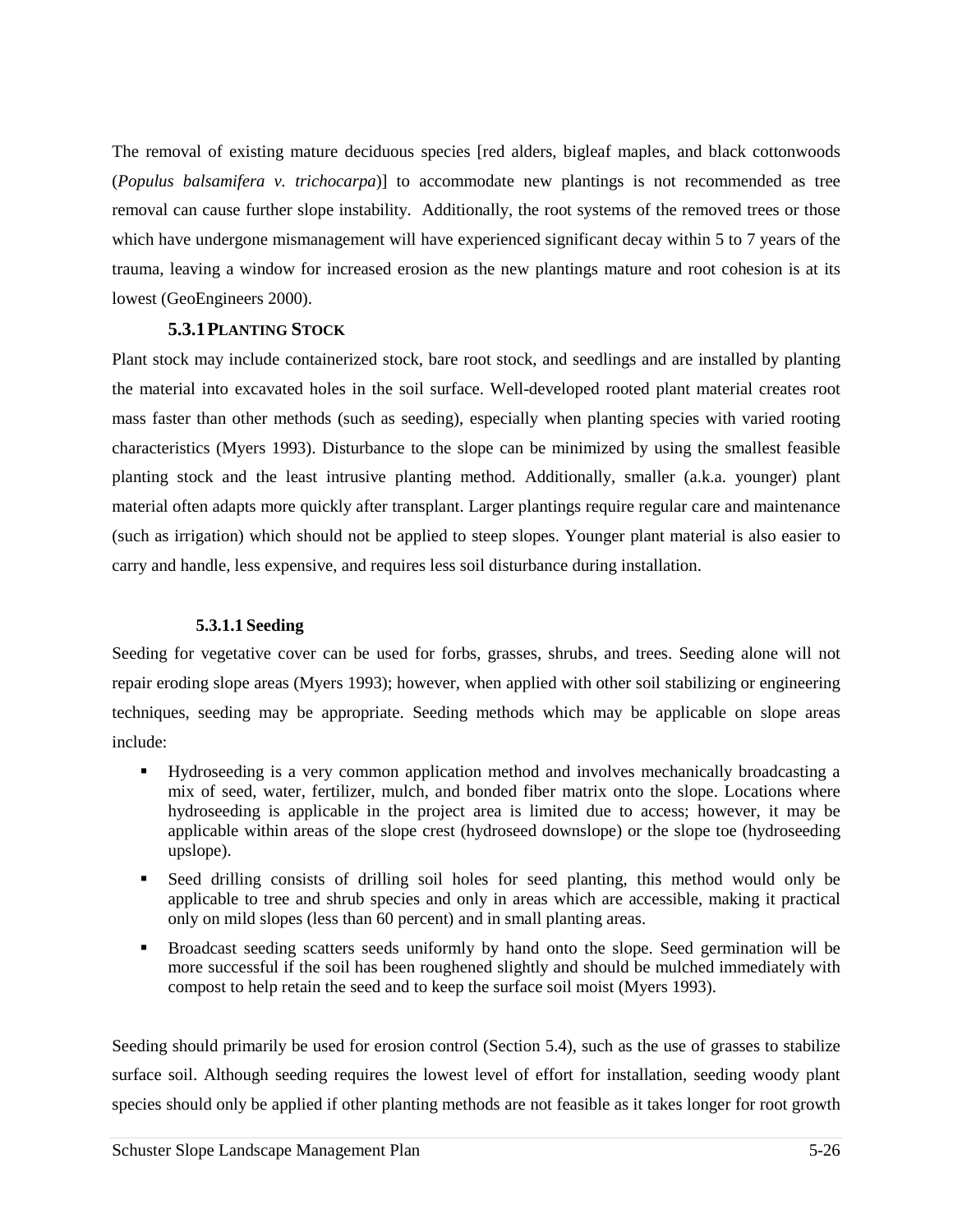The removal of existing mature deciduous species [red alders, bigleaf maples, and black cottonwoods (*Populus balsamifera v. trichocarpa*)] to accommodate new plantings is not recommended as tree removal can cause further slope instability. Additionally, the root systems of the removed trees or those which have undergone mismanagement will have experienced significant decay within 5 to 7 years of the trauma, leaving a window for increased erosion as the new plantings mature and root cohesion is at its lowest (GeoEngineers 2000).

## **5.3.1PLANTING STOCK**

Plant stock may include containerized stock, bare root stock, and seedlings and are installed by planting the material into excavated holes in the soil surface. Well-developed rooted plant material creates root mass faster than other methods (such as seeding), especially when planting species with varied rooting characteristics (Myers 1993). Disturbance to the slope can be minimized by using the smallest feasible planting stock and the least intrusive planting method. Additionally, smaller (a.k.a. younger) plant material often adapts more quickly after transplant. Larger plantings require regular care and maintenance (such as irrigation) which should not be applied to steep slopes. Younger plant material is also easier to carry and handle, less expensive, and requires less soil disturbance during installation.

## **5.3.1.1 Seeding**

Seeding for vegetative cover can be used for forbs, grasses, shrubs, and trees. Seeding alone will not repair eroding slope areas (Myers 1993); however, when applied with other soil stabilizing or engineering techniques, seeding may be appropriate. Seeding methods which may be applicable on slope areas include:

- Hydroseeding is a very common application method and involves mechanically broadcasting a mix of seed, water, fertilizer, mulch, and bonded fiber matrix onto the slope. Locations where hydroseeding is applicable in the project area is limited due to access; however, it may be applicable within areas of the slope crest (hydroseed downslope) or the slope toe (hydroseeding upslope).
- Seed drilling consists of drilling soil holes for seed planting, this method would only be applicable to tree and shrub species and only in areas which are accessible, making it practical only on mild slopes (less than 60 percent) and in small planting areas.
- Broadcast seeding scatters seeds uniformly by hand onto the slope. Seed germination will be more successful if the soil has been roughened slightly and should be mulched immediately with compost to help retain the seed and to keep the surface soil moist (Myers 1993).

Seeding should primarily be used for erosion control (Section 5.4), such as the use of grasses to stabilize surface soil. Although seeding requires the lowest level of effort for installation, seeding woody plant species should only be applied if other planting methods are not feasible as it takes longer for root growth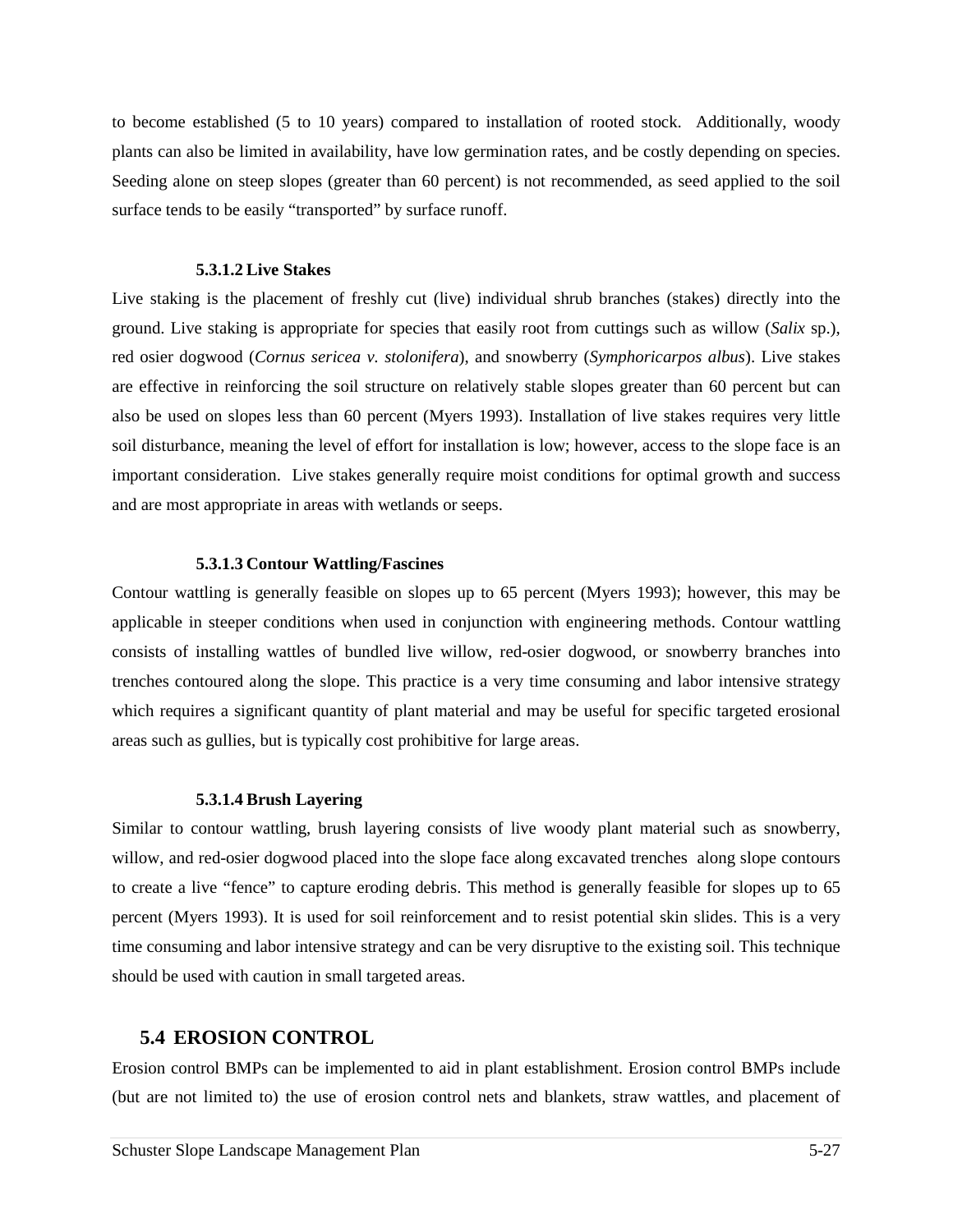to become established (5 to 10 years) compared to installation of rooted stock. Additionally, woody plants can also be limited in availability, have low germination rates, and be costly depending on species. Seeding alone on steep slopes (greater than 60 percent) is not recommended, as seed applied to the soil surface tends to be easily "transported" by surface runoff.

#### **5.3.1.2 Live Stakes**

Live staking is the placement of freshly cut (live) individual shrub branches (stakes) directly into the ground. Live staking is appropriate for species that easily root from cuttings such as willow (*Salix* sp.), red osier dogwood (*Cornus sericea v. stolonifera*), and snowberry (*Symphoricarpos albus*). Live stakes are effective in reinforcing the soil structure on relatively stable slopes greater than 60 percent but can also be used on slopes less than 60 percent (Myers 1993). Installation of live stakes requires very little soil disturbance, meaning the level of effort for installation is low; however, access to the slope face is an important consideration. Live stakes generally require moist conditions for optimal growth and success and are most appropriate in areas with wetlands or seeps.

#### **5.3.1.3 Contour Wattling/Fascines**

Contour wattling is generally feasible on slopes up to 65 percent (Myers 1993); however, this may be applicable in steeper conditions when used in conjunction with engineering methods. Contour wattling consists of installing wattles of bundled live willow, red-osier dogwood, or snowberry branches into trenches contoured along the slope. This practice is a very time consuming and labor intensive strategy which requires a significant quantity of plant material and may be useful for specific targeted erosional areas such as gullies, but is typically cost prohibitive for large areas.

### **5.3.1.4 Brush Layering**

Similar to contour wattling, brush layering consists of live woody plant material such as snowberry, willow, and red-osier dogwood placed into the slope face along excavated trenches along slope contours to create a live "fence" to capture eroding debris. This method is generally feasible for slopes up to 65 percent (Myers 1993). It is used for soil reinforcement and to resist potential skin slides. This is a very time consuming and labor intensive strategy and can be very disruptive to the existing soil. This technique should be used with caution in small targeted areas.

## **5.4 EROSION CONTROL**

Erosion control BMPs can be implemented to aid in plant establishment. Erosion control BMPs include (but are not limited to) the use of erosion control nets and blankets, straw wattles, and placement of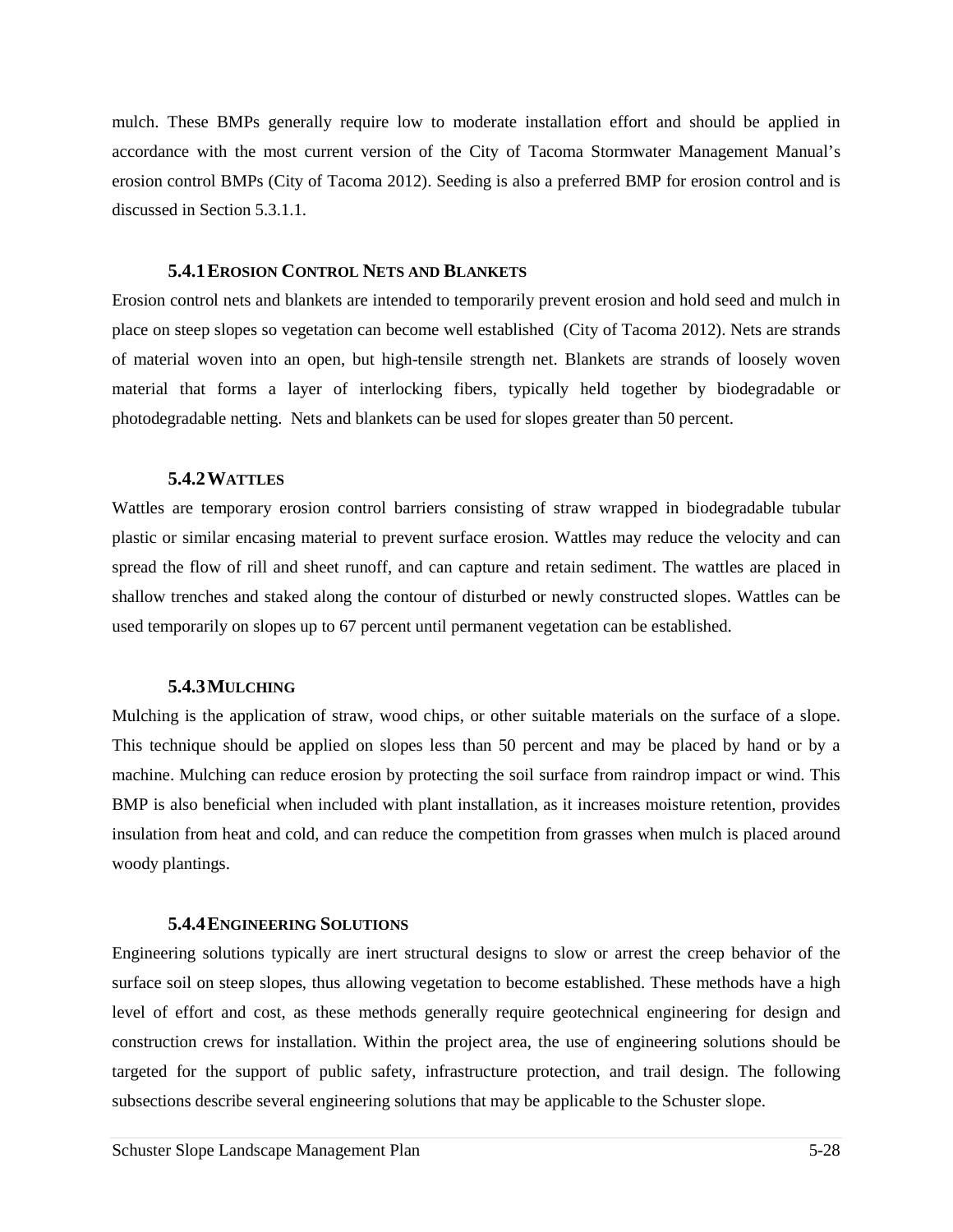mulch. These BMPs generally require low to moderate installation effort and should be applied in accordance with the most current version of the City of Tacoma Stormwater Management Manual's erosion control BMPs (City of Tacoma 2012). Seeding is also a preferred BMP for erosion control and is discussed in Section 5.3.1.1.

### **5.4.1EROSION CONTROL NETS AND BLANKETS**

Erosion control nets and blankets are intended to temporarily prevent erosion and hold seed and mulch in place on steep slopes so vegetation can become well established (City of Tacoma 2012). Nets are strands of material woven into an open, but high-tensile strength net. Blankets are strands of loosely woven material that forms a layer of interlocking fibers, typically held together by biodegradable or photodegradable netting. Nets and blankets can be used for slopes greater than 50 percent.

#### **5.4.2WATTLES**

Wattles are temporary erosion control barriers consisting of straw wrapped in biodegradable tubular plastic or similar encasing material to prevent surface erosion. Wattles may reduce the velocity and can spread the flow of rill and sheet runoff, and can capture and retain sediment. The wattles are placed in shallow trenches and staked along the contour of disturbed or newly constructed slopes. Wattles can be used temporarily on slopes up to 67 percent until permanent vegetation can be established.

### **5.4.3MULCHING**

Mulching is the application of straw, wood chips, or other suitable materials on the surface of a slope. This technique should be applied on slopes less than 50 percent and may be placed by hand or by a machine. Mulching can reduce erosion by protecting the soil surface from raindrop impact or wind. This BMP is also beneficial when included with plant installation, as it increases moisture retention, provides insulation from heat and cold, and can reduce the competition from grasses when mulch is placed around woody plantings.

### **5.4.4ENGINEERING SOLUTIONS**

Engineering solutions typically are inert structural designs to slow or arrest the creep behavior of the surface soil on steep slopes, thus allowing vegetation to become established. These methods have a high level of effort and cost, as these methods generally require geotechnical engineering for design and construction crews for installation. Within the project area, the use of engineering solutions should be targeted for the support of public safety, infrastructure protection, and trail design. The following subsections describe several engineering solutions that may be applicable to the Schuster slope.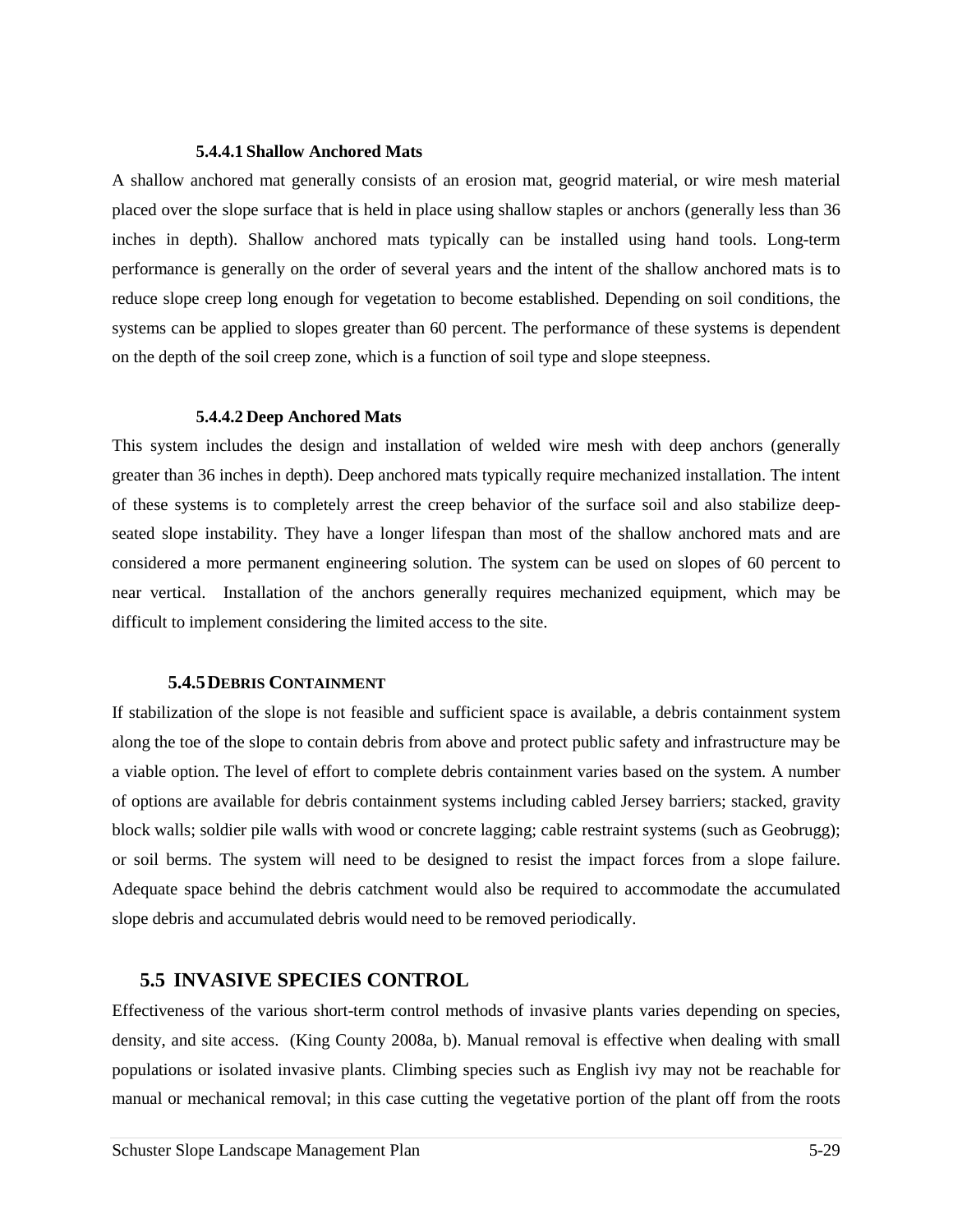#### **5.4.4.1 Shallow Anchored Mats**

A shallow anchored mat generally consists of an erosion mat, geogrid material, or wire mesh material placed over the slope surface that is held in place using shallow staples or anchors (generally less than 36 inches in depth). Shallow anchored mats typically can be installed using hand tools. Long-term performance is generally on the order of several years and the intent of the shallow anchored mats is to reduce slope creep long enough for vegetation to become established. Depending on soil conditions, the systems can be applied to slopes greater than 60 percent. The performance of these systems is dependent on the depth of the soil creep zone, which is a function of soil type and slope steepness.

#### **5.4.4.2 Deep Anchored Mats**

This system includes the design and installation of welded wire mesh with deep anchors (generally greater than 36 inches in depth). Deep anchored mats typically require mechanized installation. The intent of these systems is to completely arrest the creep behavior of the surface soil and also stabilize deepseated slope instability. They have a longer lifespan than most of the shallow anchored mats and are considered a more permanent engineering solution. The system can be used on slopes of 60 percent to near vertical. Installation of the anchors generally requires mechanized equipment, which may be difficult to implement considering the limited access to the site.

### **5.4.5DEBRIS CONTAINMENT**

If stabilization of the slope is not feasible and sufficient space is available, a debris containment system along the toe of the slope to contain debris from above and protect public safety and infrastructure may be a viable option. The level of effort to complete debris containment varies based on the system. A number of options are available for debris containment systems including cabled Jersey barriers; stacked, gravity block walls; soldier pile walls with wood or concrete lagging; cable restraint systems (such as Geobrugg); or soil berms. The system will need to be designed to resist the impact forces from a slope failure. Adequate space behind the debris catchment would also be required to accommodate the accumulated slope debris and accumulated debris would need to be removed periodically.

## **5.5 INVASIVE SPECIES CONTROL**

Effectiveness of the various short-term control methods of invasive plants varies depending on species, density, and site access. (King County 2008a, b). Manual removal is effective when dealing with small populations or isolated invasive plants. Climbing species such as English ivy may not be reachable for manual or mechanical removal; in this case cutting the vegetative portion of the plant off from the roots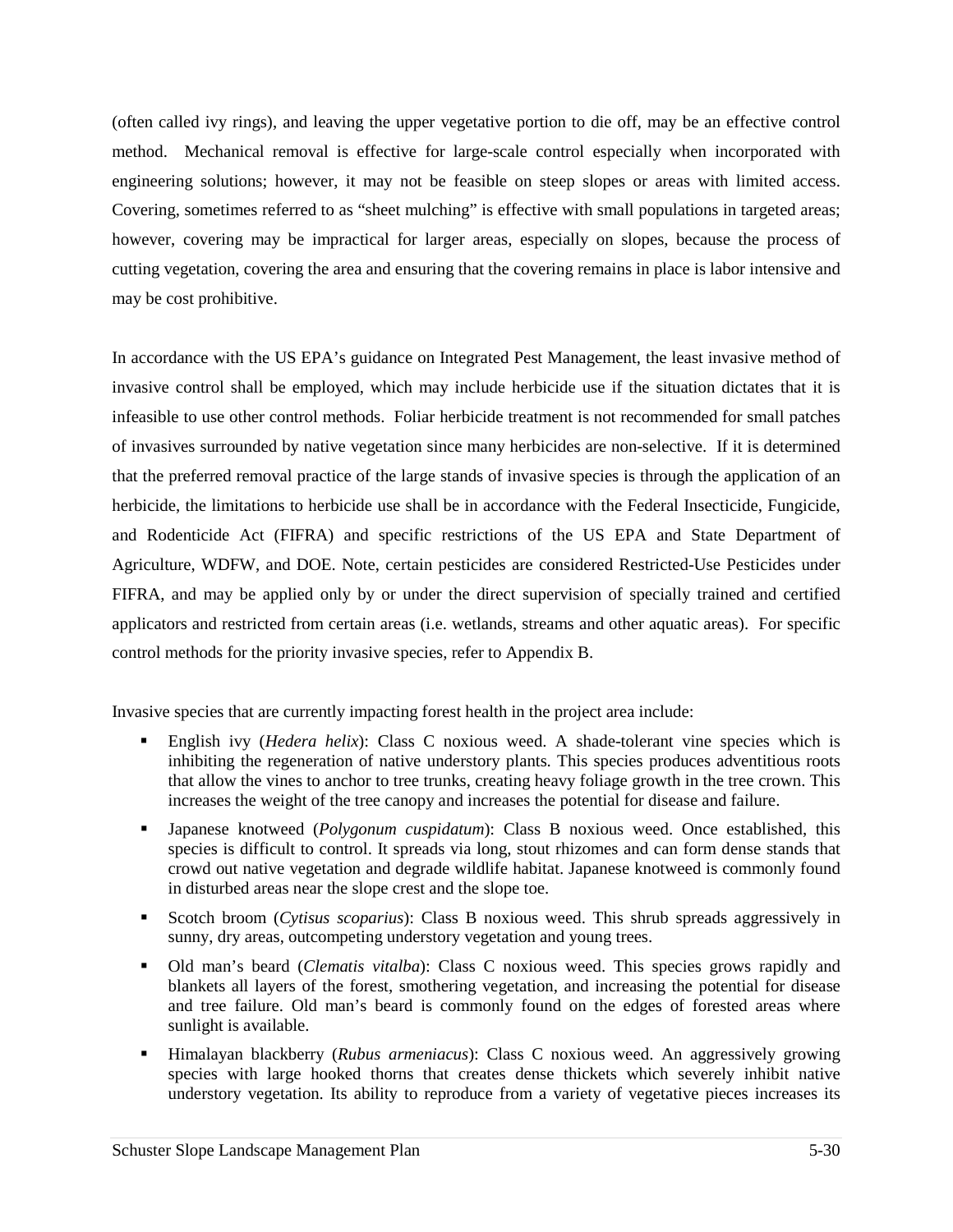(often called ivy rings), and leaving the upper vegetative portion to die off, may be an effective control method. Mechanical removal is effective for large-scale control especially when incorporated with engineering solutions; however, it may not be feasible on steep slopes or areas with limited access. Covering, sometimes referred to as "sheet mulching" is effective with small populations in targeted areas; however, covering may be impractical for larger areas, especially on slopes, because the process of cutting vegetation, covering the area and ensuring that the covering remains in place is labor intensive and may be cost prohibitive.

In accordance with the US EPA's guidance on Integrated Pest Management, the least invasive method of invasive control shall be employed, which may include herbicide use if the situation dictates that it is infeasible to use other control methods. Foliar herbicide treatment is not recommended for small patches of invasives surrounded by native vegetation since many herbicides are non-selective. If it is determined that the preferred removal practice of the large stands of invasive species is through the application of an herbicide, the limitations to herbicide use shall be in accordance with the Federal Insecticide, Fungicide, and Rodenticide Act (FIFRA) and specific restrictions of the US EPA and State Department of Agriculture, WDFW, and DOE. Note, certain pesticides are considered Restricted-Use Pesticides under FIFRA, and may be applied only by or under the direct supervision of specially trained and certified applicators and restricted from certain areas (i.e. wetlands, streams and other aquatic areas). For specific control methods for the priority invasive species, refer to Appendix B.

Invasive species that are currently impacting forest health in the project area include:

- English ivy (*Hedera helix*): Class C noxious weed. A shade-tolerant vine species which is inhibiting the regeneration of native understory plants. This species produces adventitious roots that allow the vines to anchor to tree trunks, creating heavy foliage growth in the tree crown. This increases the weight of the tree canopy and increases the potential for disease and failure.
- Japanese knotweed (*Polygonum cuspidatum*): Class B noxious weed. Once established, this species is difficult to control. It spreads via long, stout rhizomes and can form dense stands that crowd out native vegetation and degrade wildlife habitat. Japanese knotweed is commonly found in disturbed areas near the slope crest and the slope toe.
- Scotch broom (*Cytisus scoparius*): Class B noxious weed. This shrub spreads aggressively in sunny, dry areas, outcompeting understory vegetation and young trees.
- Old man's beard (*Clematis vitalba*): Class C noxious weed. This species grows rapidly and blankets all layers of the forest, smothering vegetation, and increasing the potential for disease and tree failure. Old man's beard is commonly found on the edges of forested areas where sunlight is available.
- Himalayan blackberry (*Rubus armeniacus*): Class C noxious weed. An aggressively growing species with large hooked thorns that creates dense thickets which severely inhibit native understory vegetation. Its ability to reproduce from a variety of vegetative pieces increases its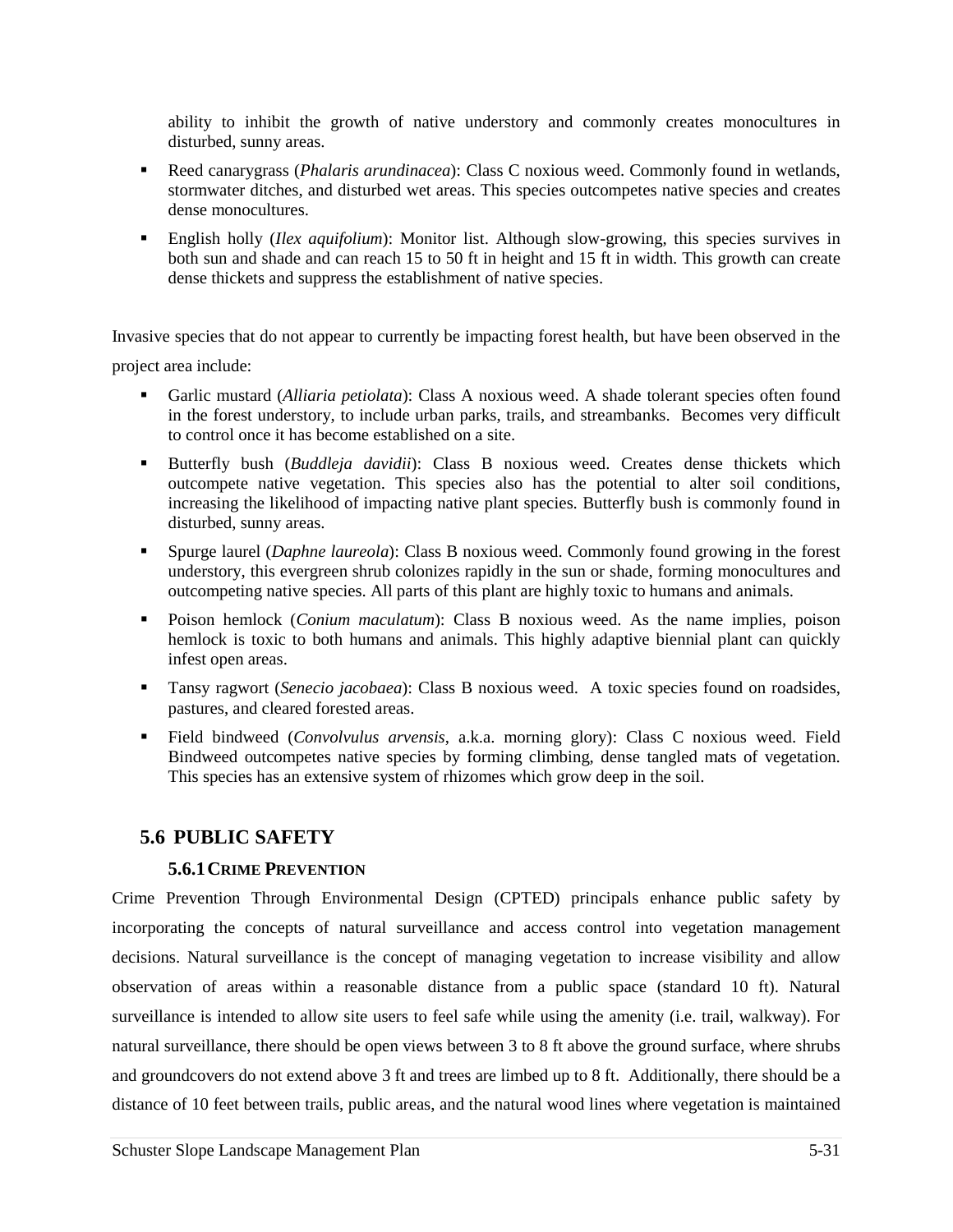ability to inhibit the growth of native understory and commonly creates monocultures in disturbed, sunny areas.

- Reed canarygrass (*Phalaris arundinacea*): Class C noxious weed. Commonly found in wetlands, stormwater ditches, and disturbed wet areas. This species outcompetes native species and creates dense monocultures.
- English holly (*Ilex aquifolium*): Monitor list. Although slow-growing, this species survives in both sun and shade and can reach 15 to 50 ft in height and 15 ft in width. This growth can create dense thickets and suppress the establishment of native species.

Invasive species that do not appear to currently be impacting forest health, but have been observed in the project area include:

- Garlic mustard (*Alliaria petiolata*): Class A noxious weed. A shade tolerant species often found in the forest understory, to include urban parks, trails, and streambanks. Becomes very difficult to control once it has become established on a site.
- Butterfly bush (*Buddleja davidii*): Class B noxious weed. Creates dense thickets which outcompete native vegetation. This species also has the potential to alter soil conditions, increasing the likelihood of impacting native plant species. Butterfly bush is commonly found in disturbed, sunny areas.
- Spurge laurel (*Daphne laureola*): Class B noxious weed. Commonly found growing in the forest understory, this evergreen shrub colonizes rapidly in the sun or shade, forming monocultures and outcompeting native species. All parts of this plant are highly toxic to humans and animals.
- Poison hemlock (*Conium maculatum*): Class B noxious weed. As the name implies, poison hemlock is toxic to both humans and animals. This highly adaptive biennial plant can quickly infest open areas.
- Tansy ragwort (*Senecio jacobaea*): Class B noxious weed. A toxic species found on roadsides, pastures, and cleared forested areas.
- Field bindweed (*Convolvulus arvensis*, a.k.a. morning glory): Class C noxious weed. Field Bindweed outcompetes native species by forming climbing, dense tangled mats of vegetation. This species has an extensive system of rhizomes which grow deep in the soil.

# **5.6 PUBLIC SAFETY**

# **5.6.1CRIME PREVENTION**

Crime Prevention Through Environmental Design (CPTED) principals enhance public safety by incorporating the concepts of natural surveillance and access control into vegetation management decisions. Natural surveillance is the concept of managing vegetation to increase visibility and allow observation of areas within a reasonable distance from a public space (standard 10 ft). Natural surveillance is intended to allow site users to feel safe while using the amenity (i.e. trail, walkway). For natural surveillance, there should be open views between 3 to 8 ft above the ground surface, where shrubs and groundcovers do not extend above 3 ft and trees are limbed up to 8 ft. Additionally, there should be a distance of 10 feet between trails, public areas, and the natural wood lines where vegetation is maintained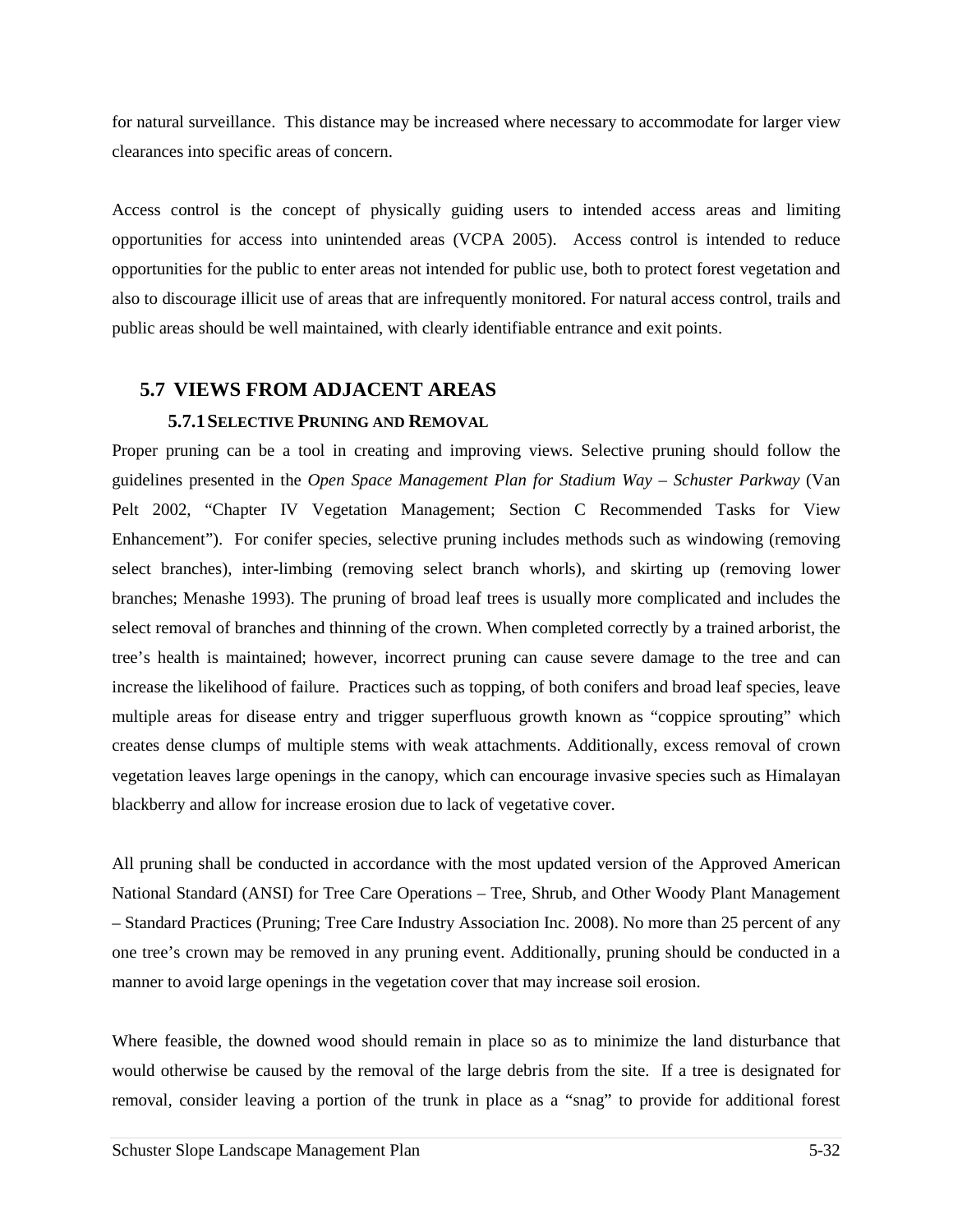for natural surveillance. This distance may be increased where necessary to accommodate for larger view clearances into specific areas of concern.

Access control is the concept of physically guiding users to intended access areas and limiting opportunities for access into unintended areas (VCPA 2005). Access control is intended to reduce opportunities for the public to enter areas not intended for public use, both to protect forest vegetation and also to discourage illicit use of areas that are infrequently monitored. For natural access control, trails and public areas should be well maintained, with clearly identifiable entrance and exit points.

# **5.7 VIEWS FROM ADJACENT AREAS**

## **5.7.1SELECTIVE PRUNING AND REMOVAL**

Proper pruning can be a tool in creating and improving views. Selective pruning should follow the guidelines presented in the *Open Space Management Plan for Stadium Way – Schuster Parkway* (Van Pelt 2002, "Chapter IV Vegetation Management; Section C Recommended Tasks for View Enhancement"). For conifer species, selective pruning includes methods such as windowing (removing select branches), inter-limbing (removing select branch whorls), and skirting up (removing lower branches; Menashe 1993). The pruning of broad leaf trees is usually more complicated and includes the select removal of branches and thinning of the crown. When completed correctly by a trained arborist, the tree's health is maintained; however, incorrect pruning can cause severe damage to the tree and can increase the likelihood of failure. Practices such as topping, of both conifers and broad leaf species, leave multiple areas for disease entry and trigger superfluous growth known as "coppice sprouting" which creates dense clumps of multiple stems with weak attachments. Additionally, excess removal of crown vegetation leaves large openings in the canopy, which can encourage invasive species such as Himalayan blackberry and allow for increase erosion due to lack of vegetative cover.

All pruning shall be conducted in accordance with the most updated version of the Approved American National Standard (ANSI) for Tree Care Operations – Tree, Shrub, and Other Woody Plant Management – Standard Practices (Pruning; Tree Care Industry Association Inc. 2008). No more than 25 percent of any one tree's crown may be removed in any pruning event. Additionally, pruning should be conducted in a manner to avoid large openings in the vegetation cover that may increase soil erosion.

Where feasible, the downed wood should remain in place so as to minimize the land disturbance that would otherwise be caused by the removal of the large debris from the site. If a tree is designated for removal, consider leaving a portion of the trunk in place as a "snag" to provide for additional forest